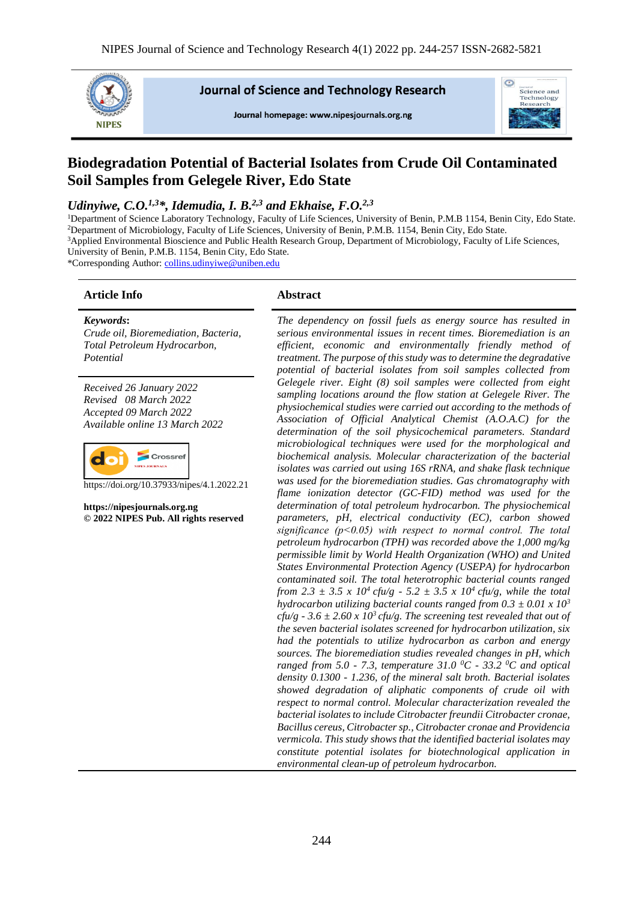

**Journal of Science and Technology Research** 

Journal homepage: www.nipesiournals.org.ng



# **Biodegradation Potential of Bacterial Isolates from Crude Oil Contaminated Soil Samples from Gelegele River, Edo State**

#### *Udinyiwe, C.O.*<sup>1,3\*</sup>, *Idemudia, I. B.*<sup>2,3</sup> *and Ekhaise, F.O.*<sup>2,3</sup>

<sup>1</sup>Department of Science Laboratory Technology, Faculty of Life Sciences, University of Benin, P.M.B 1154, Benin City, Edo State. <sup>2</sup>Department of Microbiology, Faculty of Life Sciences, University of Benin, P.M.B. 1154, Benin City, Edo State. <sup>3</sup>Applied Environmental Bioscience and Public Health Research Group, Department of Microbiology, Faculty of Life Sciences, University of Benin, P.M.B. 1154, Benin City, Edo State.

\*Corresponding Author[: collins.udinyiwe@uniben.edu](mailto:collins.udinyiwe@uniben.edu)

#### **Article Info Abstract**

#### *Keywords***:**

*Crude oil, Bioremediation, Bacteria, Total Petroleum Hydrocarbon, Potential*

*Received 26 January 2022 Revised 08 March 2022 Accepted 09 March 2022 Available online 13 March 2022*



https://doi.org/10.37933/nipes/4.1.2022.21

**https://nipesjournals.org.ng © 2022 NIPES Pub. All rights reserved**

*The dependency on fossil fuels as energy source has resulted in serious environmental issues in recent times. Bioremediation is an efficient, economic and environmentally friendly method of treatment. The purpose of this study was to determine the degradative potential of bacterial isolates from soil samples collected from Gelegele river. Eight (8) soil samples were collected from eight sampling locations around the flow station at Gelegele River. The physiochemical studies were carried out according to the methods of Association of Official Analytical Chemist (A.O.A.C) for the determination of the soil physicochemical parameters. Standard microbiological techniques were used for the morphological and biochemical analysis. Molecular characterization of the bacterial isolates was carried out using 16S rRNA, and shake flask technique was used for the bioremediation studies. Gas chromatography with flame ionization detector (GC-FID) method was used for the determination of total petroleum hydrocarbon. The physiochemical parameters, pH, electrical conductivity (EC), carbon showed significance (p˂0.05) with respect to normal control. The total petroleum hydrocarbon (TPH) was recorded above the 1,000 mg/kg permissible limit by World Health Organization (WHO) and United States Environmental Protection Agency (USEPA) for hydrocarbon contaminated soil. The total heterotrophic bacterial counts ranged from* 2.3  $\pm$  3.5 x 10<sup>4</sup> *cfu/g -* 5.2  $\pm$  3.5 x 10<sup>4</sup> *cfu/g, while the total hydrocarbon utilizing bacterial counts ranged from*  $0.3 \pm 0.01 \times 10^3$ *cfu/g -*  $3.6 \pm 2.60 \times 10^3$ *cfu/g. The screening test revealed that out of the seven bacterial isolates screened for hydrocarbon utilization, six had the potentials to utilize hydrocarbon as carbon and energy sources. The bioremediation studies revealed changes in pH, which ranged from 5.0 - 7.3, temperature 31.0 <sup>0</sup>C - 33.2 <sup>0</sup>C and optical density 0.1300 - 1.236, of the mineral salt broth. Bacterial isolates showed degradation of aliphatic components of crude oil with respect to normal control. Molecular characterization revealed the bacterial isolates to include Citrobacter freundii Citrobacter cronae, Bacillus cereus, Citrobacter sp., Citrobacter cronae and Providencia vermicola. This study shows that the identified bacterial isolates may constitute potential isolates for biotechnological application in environmental clean-up of petroleum hydrocarbon.*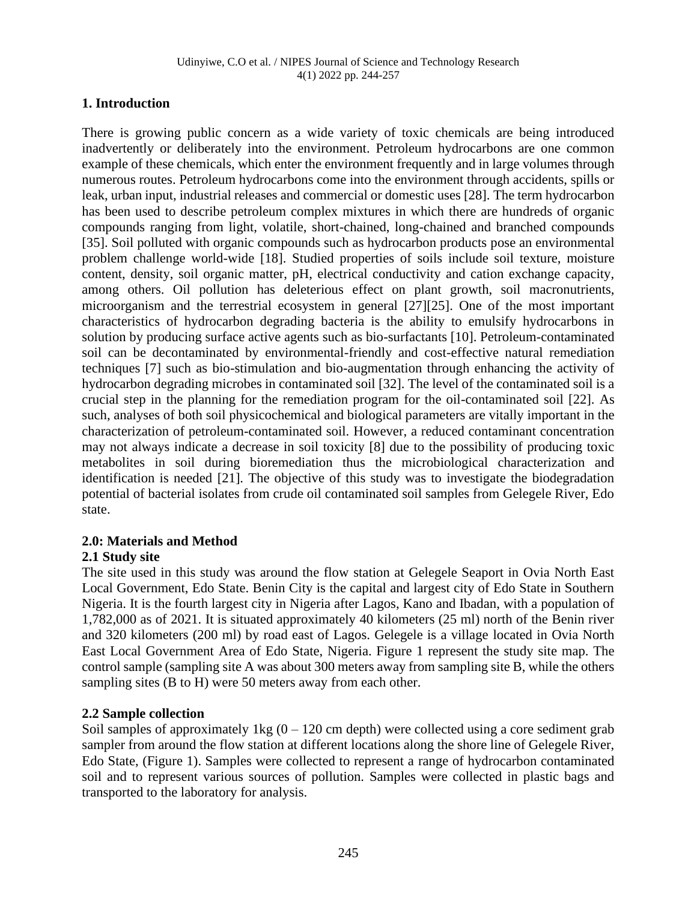#### **1. Introduction**

There is growing public concern as a wide variety of toxic chemicals are being introduced inadvertently or deliberately into the environment. Petroleum hydrocarbons are one common example of these chemicals, which enter the environment frequently and in large volumes through numerous routes. Petroleum hydrocarbons come into the environment through accidents, spills or leak, urban input, industrial releases and commercial or domestic uses [28]. The term hydrocarbon has been used to describe petroleum complex mixtures in which there are hundreds of organic compounds ranging from light, volatile, short-chained, long-chained and branched compounds [35]. Soil polluted with organic compounds such as hydrocarbon products pose an environmental problem challenge world-wide [18]. Studied properties of soils include soil texture, moisture content, density, soil organic matter, pH, electrical conductivity and cation exchange capacity, among others. Oil pollution has deleterious effect on plant growth, soil macronutrients, microorganism and the terrestrial ecosystem in general [27][25]. One of the most important characteristics of hydrocarbon degrading bacteria is the ability to emulsify hydrocarbons in solution by producing surface active agents such as bio-surfactants [10]. Petroleum-contaminated soil can be decontaminated by environmental-friendly and cost-effective natural remediation techniques [7] such as bio-stimulation and bio-augmentation through enhancing the activity of hydrocarbon degrading microbes in contaminated soil [32]. The level of the contaminated soil is a crucial step in the planning for the remediation program for the oil-contaminated soil [22]. As such, analyses of both soil physicochemical and biological parameters are vitally important in the characterization of petroleum-contaminated soil. However, a reduced contaminant concentration may not always indicate a decrease in soil toxicity [8] due to the possibility of producing toxic metabolites in soil during bioremediation thus the microbiological characterization and identification is needed [21]. The objective of this study was to investigate the biodegradation potential of bacterial isolates from crude oil contaminated soil samples from Gelegele River, Edo state.

#### **2.0: Materials and Method**

#### **2.1 Study site**

The site used in this study was around the flow station at Gelegele Seaport in Ovia North East Local Government, Edo State. Benin City is the capital and largest city of Edo State in Southern Nigeria. It is the fourth largest city in Nigeria after Lagos, Kano and Ibadan, with a population of 1,782,000 as of 2021. It is situated approximately 40 kilometers (25 ml) north of the Benin river and 320 kilometers (200 ml) by road east of Lagos. Gelegele is a village located in Ovia North East Local Government Area of Edo State, Nigeria. Figure 1 represent the study site map. The control sample (sampling site A was about 300 meters away from sampling site B, while the others sampling sites (B to H) were 50 meters away from each other.

#### **2.2 Sample collection**

Soil samples of approximately  $1 \text{kg}$  (0 – 120 cm depth) were collected using a core sediment grab sampler from around the flow station at different locations along the shore line of Gelegele River, Edo State, (Figure 1). Samples were collected to represent a range of hydrocarbon contaminated soil and to represent various sources of pollution. Samples were collected in plastic bags and transported to the laboratory for analysis.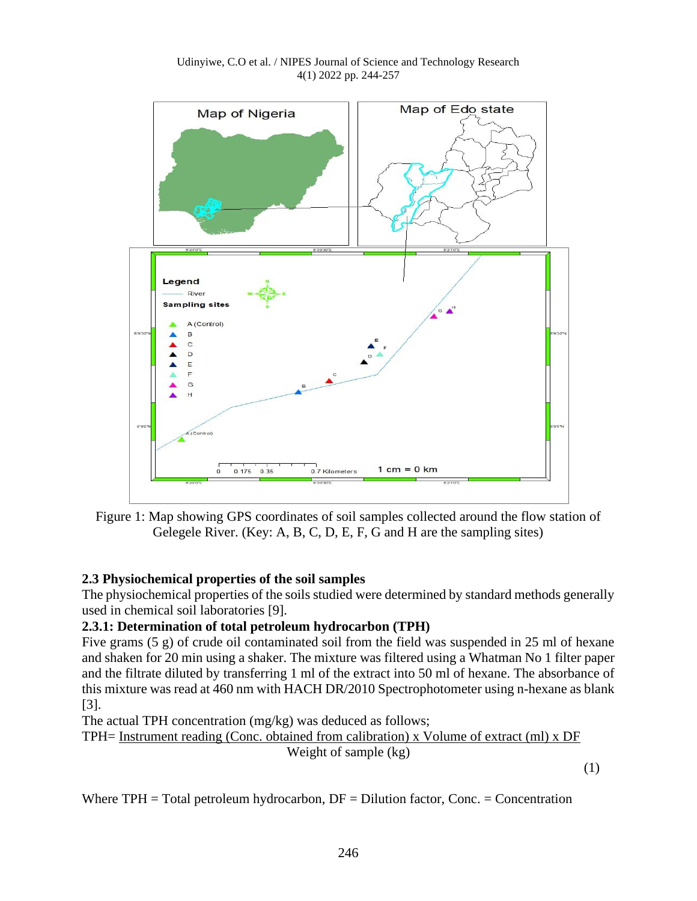

Udinyiwe, C.O et al. / NIPES Journal of Science and Technology Research 4(1) 2022 pp. 244-257

Figure 1: Map showing GPS coordinates of soil samples collected around the flow station of Gelegele River. (Key: A, B, C, D, E, F, G and H are the sampling sites)

# **2.3 Physiochemical properties of the soil samples**

The physiochemical properties of the soils studied were determined by standard methods generally used in chemical soil laboratories [9].

# **2.3.1: Determination of total petroleum hydrocarbon (TPH)**

Five grams (5 g) of crude oil contaminated soil from the field was suspended in 25 ml of hexane and shaken for 20 min using a shaker. The mixture was filtered using a Whatman No 1 filter paper and the filtrate diluted by transferring 1 ml of the extract into 50 ml of hexane. The absorbance of this mixture was read at 460 nm with HACH DR/2010 Spectrophotometer using n-hexane as blank [3].

The actual TPH concentration (mg/kg) was deduced as follows;

TPH= Instrument reading (Conc. obtained from calibration) x Volume of extract (ml) x DF Weight of sample (kg)

(1)

Where  $TPH = Total$  petroleum hydrocarbon,  $DF = Dilution$  factor, Conc. = Concentration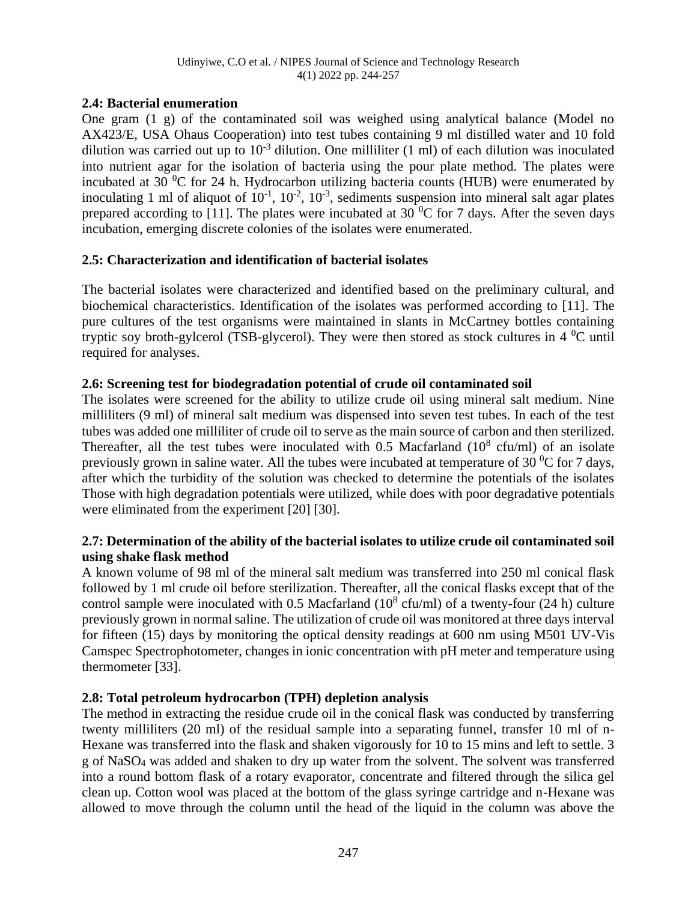#### **2.4: Bacterial enumeration**

One gram (1 g) of the contaminated soil was weighed using analytical balance (Model no AX423/E, USA Ohaus Cooperation) into test tubes containing 9 ml distilled water and 10 fold dilution was carried out up to  $10^{-3}$  dilution. One milliliter (1 ml) of each dilution was inoculated into nutrient agar for the isolation of bacteria using the pour plate method. The plates were incubated at 30  $\rm{^0C}$  for 24 h. Hydrocarbon utilizing bacteria counts (HUB) were enumerated by inoculating 1 ml of aliquot of  $10^{-1}$ ,  $10^{-2}$ ,  $10^{-3}$ , sediments suspension into mineral salt agar plates prepared according to [11]. The plates were incubated at  $30<sup>0</sup>C$  for 7 days. After the seven days incubation, emerging discrete colonies of the isolates were enumerated.

## **2.5: Characterization and identification of bacterial isolates**

The bacterial isolates were characterized and identified based on the preliminary cultural, and biochemical characteristics. Identification of the isolates was performed according to [11]. The pure cultures of the test organisms were maintained in slants in McCartney bottles containing tryptic soy broth-gylcerol (TSB-glycerol). They were then stored as stock cultures in  $4^{\circ}$ C until required for analyses.

## **2.6: Screening test for biodegradation potential of crude oil contaminated soil**

The isolates were screened for the ability to utilize crude oil using mineral salt medium. Nine milliliters (9 ml) of mineral salt medium was dispensed into seven test tubes. In each of the test tubes was added one milliliter of crude oil to serve as the main source of carbon and then sterilized. Thereafter, all the test tubes were inoculated with 0.5 Macfarland  $(10^8 \text{ cfu/ml})$  of an isolate previously grown in saline water. All the tubes were incubated at temperature of 30  $\mathrm{^{0}C}$  for 7 days, after which the turbidity of the solution was checked to determine the potentials of the isolates Those with high degradation potentials were utilized, while does with poor degradative potentials were eliminated from the experiment [20] [30].

#### **2.7: Determination of the ability of the bacterial isolates to utilize crude oil contaminated soil using shake flask method**

A known volume of 98 ml of the mineral salt medium was transferred into 250 ml conical flask followed by 1 ml crude oil before sterilization. Thereafter, all the conical flasks except that of the control sample were inoculated with 0.5 Macfarland  $(10^8 \text{ cfu/ml})$  of a twenty-four  $(24 \text{ h})$  culture previously grown in normal saline. The utilization of crude oil was monitored at three days interval for fifteen (15) days by monitoring the optical density readings at 600 nm using M501 UV-Vis Camspec Spectrophotometer, changes in ionic concentration with pH meter and temperature using thermometer [33].

# **2.8: Total petroleum hydrocarbon (TPH) depletion analysis**

The method in extracting the residue crude oil in the conical flask was conducted by transferring twenty milliliters (20 ml) of the residual sample into a separating funnel, transfer 10 ml of n-Hexane was transferred into the flask and shaken vigorously for 10 to 15 mins and left to settle. 3 g of NaSO<sup>4</sup> was added and shaken to dry up water from the solvent. The solvent was transferred into a round bottom flask of a rotary evaporator, concentrate and filtered through the silica gel clean up. Cotton wool was placed at the bottom of the glass syringe cartridge and n-Hexane was allowed to move through the column until the head of the liquid in the column was above the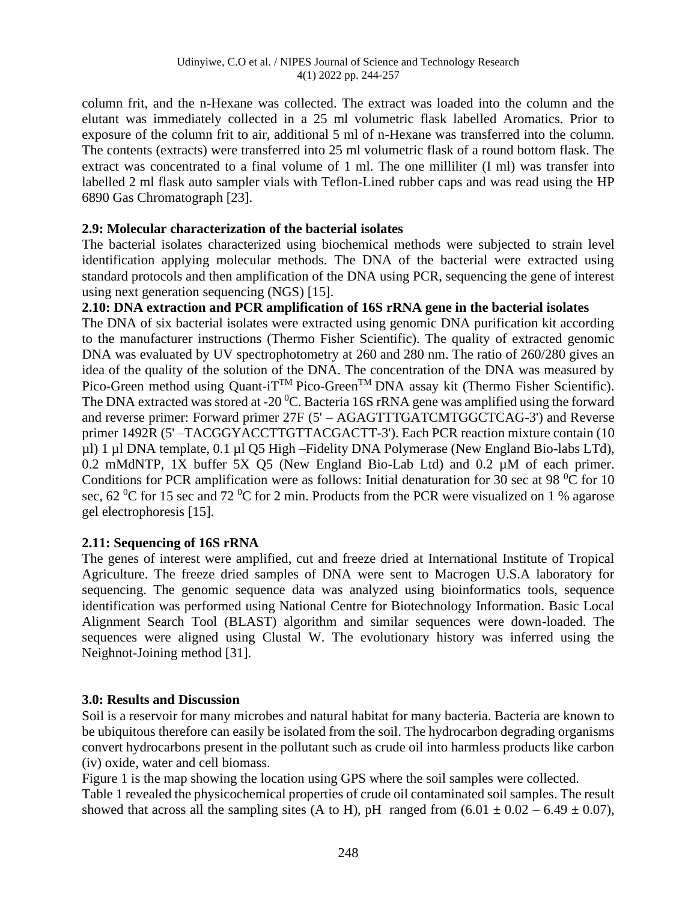column frit, and the n-Hexane was collected. The extract was loaded into the column and the elutant was immediately collected in a 25 ml volumetric flask labelled Aromatics. Prior to exposure of the column frit to air, additional 5 ml of n-Hexane was transferred into the column. The contents (extracts) were transferred into 25 ml volumetric flask of a round bottom flask. The extract was concentrated to a final volume of 1 ml. The one milliliter (I ml) was transfer into labelled 2 ml flask auto sampler vials with Teflon-Lined rubber caps and was read using the HP 6890 Gas Chromatograph [23].

#### **2.9: Molecular characterization of the bacterial isolates**

The bacterial isolates characterized using biochemical methods were subjected to strain level identification applying molecular methods. The DNA of the bacterial were extracted using standard protocols and then amplification of the DNA using PCR, sequencing the gene of interest using next generation sequencing (NGS) [15].

## **2.10: DNA extraction and PCR amplification of 16S rRNA gene in the bacterial isolates**

The DNA of six bacterial isolates were extracted using genomic DNA purification kit according to the manufacturer instructions (Thermo Fisher Scientific). The quality of extracted genomic DNA was evaluated by UV spectrophotometry at 260 and 280 nm. The ratio of 260/280 gives an idea of the quality of the solution of the DNA. The concentration of the DNA was measured by Pico-Green method using Quant-i $T^{TM}$  Pico-Green<sup>TM</sup> DNA assay kit (Thermo Fisher Scientific). The DNA extracted was stored at -20  $\rm{^0C}$ . Bacteria 16S rRNA gene was amplified using the forward and reverse primer: Forward primer 27F (5' – AGAGTTTGATCMTGGCTCAG-3') and Reverse primer 1492R (5' –TACGGYACCTTGTTACGACTT-3'). Each PCR reaction mixture contain (10 µl) 1 µl DNA template, 0.1 µl Q5 High –Fidelity DNA Polymerase (New England Bio-labs LTd), 0.2 mMdNTP, 1X buffer 5X Q5 (New England Bio-Lab Ltd) and 0.2 µM of each primer. Conditions for PCR amplification were as follows: Initial denaturation for 30 sec at 98  $\mathrm{^{0}C}$  for 10 sec,  $62\,^0C$  for 15 sec and  $72\,^0C$  for 2 min. Products from the PCR were visualized on 1 % agarose gel electrophoresis [15].

# **2.11: Sequencing of 16S rRNA**

The genes of interest were amplified, cut and freeze dried at International Institute of Tropical Agriculture. The freeze dried samples of DNA were sent to Macrogen U.S.A laboratory for sequencing. The genomic sequence data was analyzed using bioinformatics tools, sequence identification was performed using National Centre for Biotechnology Information. Basic Local Alignment Search Tool (BLAST) algorithm and similar sequences were down-loaded. The sequences were aligned using Clustal W. The evolutionary history was inferred using the Neighnot-Joining method [31].

#### **3.0: Results and Discussion**

Soil is a reservoir for many microbes and natural habitat for many bacteria. Bacteria are known to be ubiquitous therefore can easily be isolated from the soil. The hydrocarbon degrading organisms convert hydrocarbons present in the pollutant such as crude oil into harmless products like carbon (iv) oxide, water and cell biomass.

Figure 1 is the map showing the location using GPS where the soil samples were collected.

Table 1 revealed the physicochemical properties of crude oil contaminated soil samples. The result showed that across all the sampling sites (A to H), pH ranged from  $(6.01 \pm 0.02 - 6.49 \pm 0.07)$ ,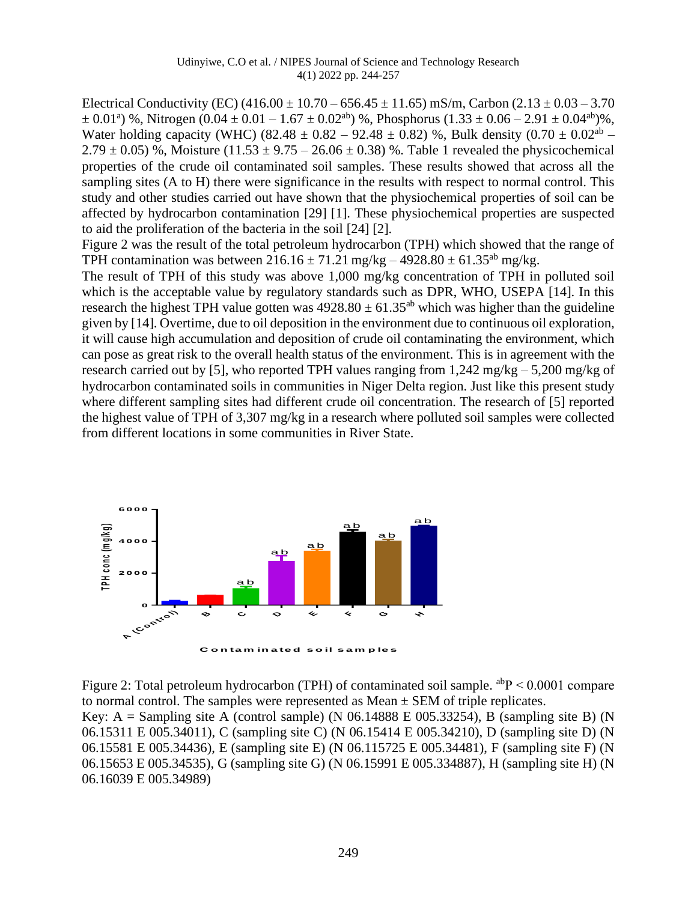Electrical Conductivity (EC)  $(416.00 \pm 10.70 - 656.45 \pm 11.65)$  mS/m, Carbon  $(2.13 \pm 0.03 - 3.70)$  $\pm$  0.01<sup>a</sup>) %, Nitrogen (0.04  $\pm$  0.01 – 1.67  $\pm$  0.02<sup>ab</sup>) %, Phosphorus (1.33  $\pm$  0.06 – 2.91  $\pm$  0.04<sup>ab</sup>)%, Water holding capacity (WHC) (82.48  $\pm$  0.82 – 92.48  $\pm$  0.82) %, Bulk density (0.70  $\pm$  0.02<sup>ab</sup> –  $2.79 \pm 0.05$ ) %, Moisture (11.53  $\pm$  9.75 – 26.06  $\pm$  0.38) %. Table 1 revealed the physicochemical properties of the crude oil contaminated soil samples. These results showed that across all the sampling sites (A to H) there were significance in the results with respect to normal control. This study and other studies carried out have shown that the physiochemical properties of soil can be affected by hydrocarbon contamination [29] [1]. These physiochemical properties are suspected to aid the proliferation of the bacteria in the soil [24] [2].

Figure 2 was the result of the total petroleum hydrocarbon (TPH) which showed that the range of TPH contamination was between  $216.16 \pm 71.21$  mg/kg – 4928.80  $\pm$  61.35<sup>ab</sup> mg/kg.

The result of TPH of this study was above 1,000 mg/kg concentration of TPH in polluted soil which is the acceptable value by regulatory standards such as DPR, WHO, USEPA [14]. In this research the highest TPH value gotten was  $4928.80 \pm 61.35$ <sup>ab</sup> which was higher than the guideline given by [14]. Overtime, due to oil deposition in the environment due to continuous oil exploration, it will cause high accumulation and deposition of crude oil contaminating the environment, which can pose as great risk to the overall health status of the environment. This is in agreement with the research carried out by [5], who reported TPH values ranging from  $1.242 \text{ mg/kg} - 5.200 \text{ mg/kg}$  of hydrocarbon contaminated soils in communities in Niger Delta region. Just like this present study where different sampling sites had different crude oil concentration. The research of [5] reported the highest value of TPH of 3,307 mg/kg in a research where polluted soil samples were collected from different locations in some communities in River State.



Figure 2: Total petroleum hydrocarbon (TPH) of contaminated soil sample.  $a^{ab}P < 0.0001$  compare to normal control. The samples were represented as  $Mean \pm SEM$  of triple replicates. Key: A = Sampling site A (control sample) (N 06.14888 E 005.33254), B (sampling site B) (N 06.15311 E 005.34011), C (sampling site C) (N 06.15414 E 005.34210), D (sampling site D) (N 06.15581 E 005.34436), E (sampling site E) (N 06.115725 E 005.34481), F (sampling site F) (N 06.15653 E 005.34535), G (sampling site G) (N 06.15991 E 005.334887), H (sampling site H) (N 06.16039 E 005.34989)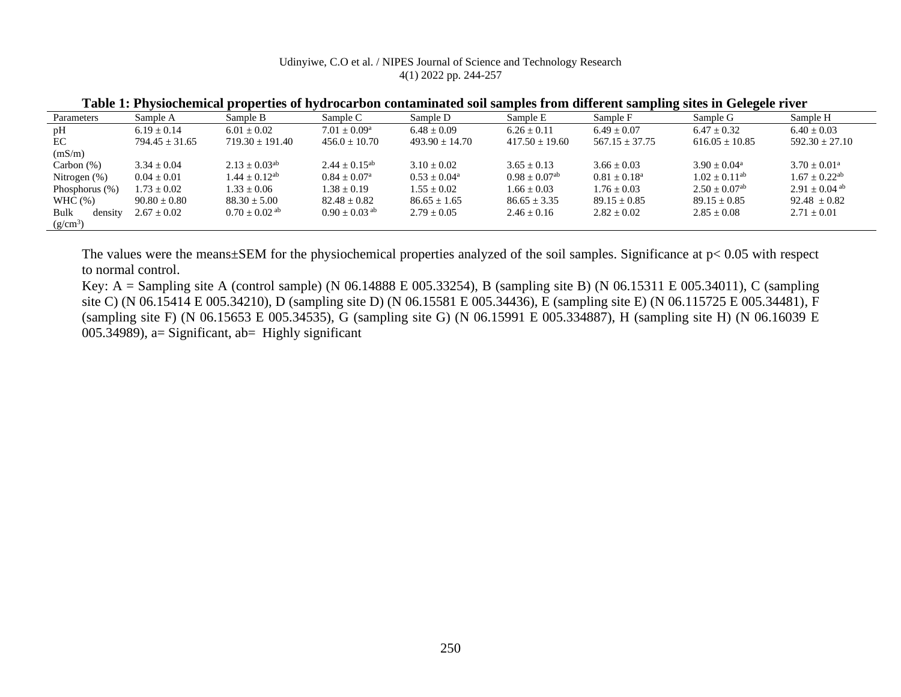#### Udinyiwe, C.O et al. / NIPES Journal of Science and Technology Research 4(1) 2022 pp. 244-257

| Sample A           | Sample B            | Sample C                    | Sample D         | Sample E                    | Sample F           | Sample G                    | Sample H                    |
|--------------------|---------------------|-----------------------------|------------------|-----------------------------|--------------------|-----------------------------|-----------------------------|
| $6.19 + 0.14$      | $6.01 \pm 0.02$     | $7.01 + 0.09^{\rm a}$       | $6.48 + 0.09$    | $6.26 \pm 0.11$             | $6.49 + 0.07$      | $6.47 \pm 0.32$             | $6.40 + 0.03$               |
| $794.45 \pm 31.65$ | $719.30 \pm 191.40$ | $456.0 \pm 10.70$           | $493.90 + 14.70$ | $417.50 + 19.60$            | $567.15 \pm 37.75$ | $616.05 \pm 10.85$          | $592.30 \pm 27.10$          |
|                    |                     |                             |                  |                             |                    |                             |                             |
| $3.34 \pm 0.04$    | $2.13 + 0.03^{ab}$  | $2.44 + 0.15^{ab}$          | $3.10 + 0.02$    | $3.65 \pm 0.13$             | $3.66 \pm 0.03$    | $3.90 + 0.04^a$             | $3.70 + 0.01^a$             |
| $0.04 \pm 0.01$    | $1.44 + 0.12^{ab}$  | $0.84 + 0.07$ <sup>a</sup>  | $0.53 + 0.04^a$  | $0.98 + 0.07$ <sup>ab</sup> | $0.81 + 0.18^a$    | $1.02 + 0.11^{ab}$          | $1.67 + 0.22$ <sup>ab</sup> |
| $1.73 \pm 0.02$    | $1.33 \pm 0.06$     | $1.38 + 0.19$               | $1.55 \pm 0.02$  | $1.66 \pm 0.03$             | $1.76 \pm 0.03$    | $2.50 + 0.07$ <sup>ab</sup> | $2.91 + 0.04$ ab            |
| $90.80 \pm 0.80$   | $88.30 \pm 5.00$    | $82.48 \pm 0.82$            | $86.65 \pm 1.65$ | $86.65 \pm 3.35$            | $89.15 \pm 0.85$   | $89.15 \pm 0.85$            | $92.48 \pm 0.82$            |
| $2.67 \pm 0.02$    | $0.70 \pm 0.02$ ab  | $0.90 + 0.03$ <sup>ab</sup> | $2.79 + 0.05$    | $2.46 \pm 0.16$             | $2.82 \pm 0.02$    | $2.85 \pm 0.08$             | $2.71 \pm 0.01$             |
|                    |                     |                             |                  |                             |                    |                             |                             |
|                    |                     |                             |                  |                             |                    |                             |                             |

**Table 1: Physiochemical properties of hydrocarbon contaminated soil samples from different sampling sites in Gelegele river**

The values were the means±SEM for the physiochemical properties analyzed of the soil samples. Significance at  $p < 0.05$  with respect to normal control.

Key: A = Sampling site A (control sample) (N 06.14888 E 005.33254), B (sampling site B) (N 06.15311 E 005.34011), C (sampling site C) (N 06.15414 E 005.34210), D (sampling site D) (N 06.15581 E 005.34436), E (sampling site E) (N 06.115725 E 005.34481), F (sampling site F) (N 06.15653 E 005.34535), G (sampling site G) (N 06.15991 E 005.334887), H (sampling site H) (N 06.16039 E 005.34989), a= Significant, ab= Highly significant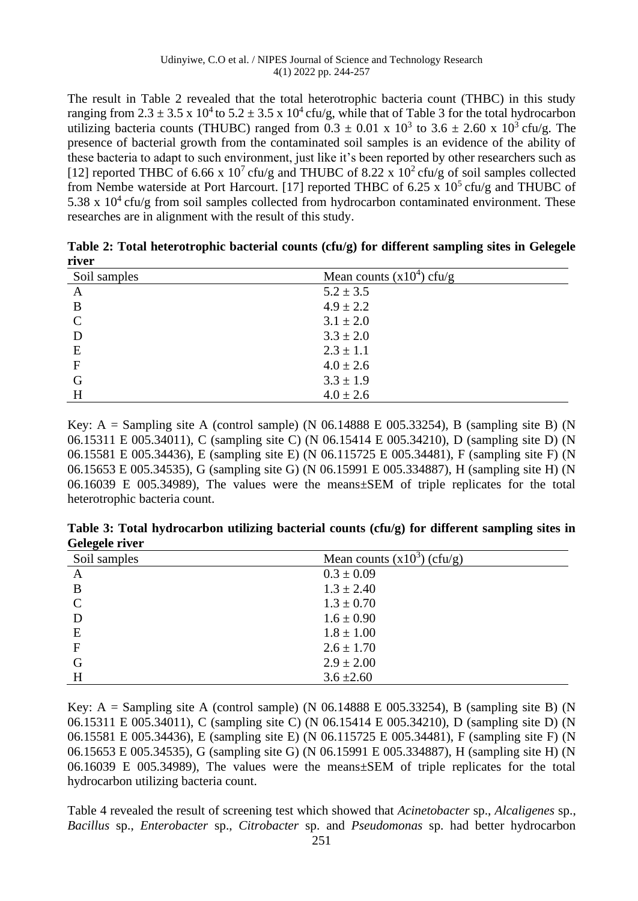The result in Table 2 revealed that the total heterotrophic bacteria count (THBC) in this study ranging from 2.3  $\pm$  3.5 x 10<sup>4</sup> to 5.2  $\pm$  3.5 x 10<sup>4</sup> cfu/g, while that of Table 3 for the total hydrocarbon utilizing bacteria counts (THUBC) ranged from  $0.3 \pm 0.01 \times 10^3$  to  $3.6 \pm 2.60 \times 10^3$  cfu/g. The presence of bacterial growth from the contaminated soil samples is an evidence of the ability of these bacteria to adapt to such environment, just like it's been reported by other researchers such as [12] reported THBC of 6.66 x 10<sup>7</sup> cfu/g and THUBC of 8.22 x 10<sup>2</sup> cfu/g of soil samples collected from Nembe waterside at Port Harcourt. [17] reported THBC of 6.25 x  $10^5$  cfu/g and THUBC of 5.38 x  $10^4$  cfu/g from soil samples collected from hydrocarbon contaminated environment. These researches are in alignment with the result of this study.

| 111 V.L       |                             |  |
|---------------|-----------------------------|--|
| Soil samples  | Mean counts $(x10^4)$ cfu/g |  |
| A             | $5.2 \pm 3.5$               |  |
| B             | $4.9 \pm 2.2$               |  |
| $\mathcal{C}$ | $3.1 \pm 2.0$               |  |
| D             | $3.3 \pm 2.0$               |  |
| E             | $2.3 \pm 1.1$               |  |
| $\mathbf F$   | $4.0 \pm 2.6$               |  |
| G             | $3.3 \pm 1.9$               |  |
| H             | $4.0 \pm 2.6$               |  |

**Table 2: Total heterotrophic bacterial counts (cfu/g) for different sampling sites in Gelegele river**

Key: A = Sampling site A (control sample) (N  $06.14888 \text{ E } 005.33254$ ), B (sampling site B) (N 06.15311 E 005.34011), C (sampling site C) (N 06.15414 E 005.34210), D (sampling site D) (N 06.15581 E 005.34436), E (sampling site E) (N 06.115725 E 005.34481), F (sampling site F) (N 06.15653 E 005.34535), G (sampling site G) (N 06.15991 E 005.334887), H (sampling site H) (N 06.16039 E 005.34989), The values were the means±SEM of triple replicates for the total heterotrophic bacteria count.

**Table 3: Total hydrocarbon utilizing bacterial counts (cfu/g) for different sampling sites in Gelegele river**

| Soil samples  | Mean counts $(x10^3)$ (cfu/g) |
|---------------|-------------------------------|
| $\mathbf{A}$  | $0.3 \pm 0.09$                |
| B             | $1.3 \pm 2.40$                |
| $\mathcal{C}$ | $1.3 \pm 0.70$                |
| D             | $1.6 \pm 0.90$                |
| E             | $1.8 \pm 1.00$                |
| $\mathbf{F}$  | $2.6 \pm 1.70$                |
| G             | $2.9 \pm 2.00$                |
| H             | $3.6 \pm 2.60$                |

Key: A = Sampling site A (control sample) (N  $06.14888 \text{ E } 005.33254$ ), B (sampling site B) (N 06.15311 E 005.34011), C (sampling site C) (N 06.15414 E 005.34210), D (sampling site D) (N 06.15581 E 005.34436), E (sampling site E) (N 06.115725 E 005.34481), F (sampling site F) (N 06.15653 E 005.34535), G (sampling site G) (N 06.15991 E 005.334887), H (sampling site H) (N 06.16039 E 005.34989), The values were the means±SEM of triple replicates for the total hydrocarbon utilizing bacteria count.

Table 4 revealed the result of screening test which showed that *Acinetobacter* sp., *Alcaligenes* sp., *Bacillus* sp., *Enterobacter* sp., *Citrobacter* sp. and *Pseudomonas* sp. had better hydrocarbon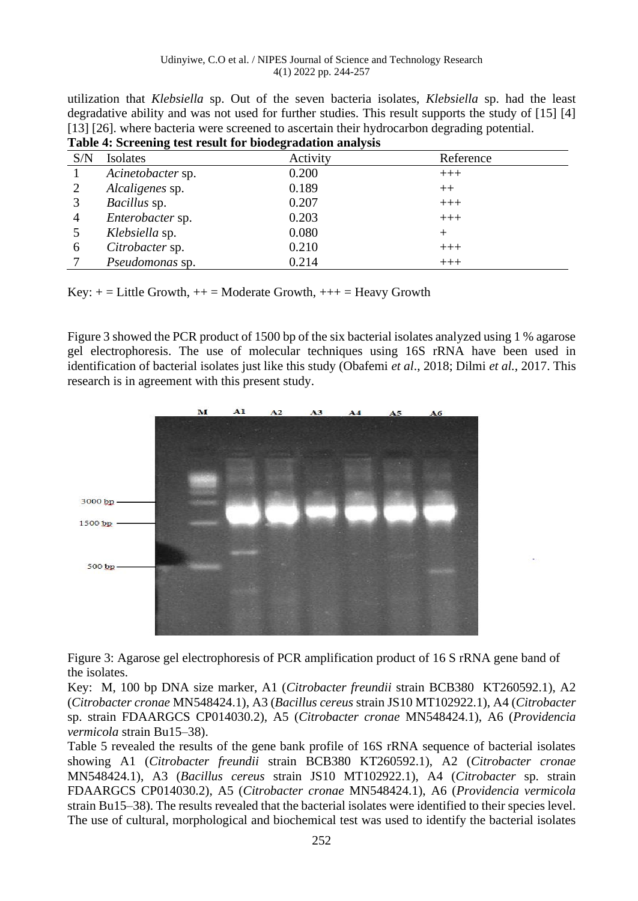| Lable 4: Screening test result for biodegradation analysis |                     |          |           |  |  |  |
|------------------------------------------------------------|---------------------|----------|-----------|--|--|--|
| S/N                                                        | Isolates            | Activity | Reference |  |  |  |
|                                                            | Acinetobacter sp.   | 0.200    | $+++$     |  |  |  |
| 2                                                          | Alcaligenes sp.     | 0.189    | $++$      |  |  |  |
|                                                            | <i>Bacillus</i> sp. | 0.207    | $+++$     |  |  |  |
| 4                                                          | Enterobacter sp.    | 0.203    | $+++$     |  |  |  |
|                                                            | Klebsiella sp.      | 0.080    | $^{+}$    |  |  |  |
| 6                                                          | Citrobacter sp.     | 0.210    | $+++$     |  |  |  |
|                                                            | Pseudomonas sp.     | 0.214    | $+++$     |  |  |  |

utilization that *Klebsiella* sp. Out of the seven bacteria isolates, *Klebsiella* sp. had the least degradative ability and was not used for further studies. This result supports the study of [15] [4] [13] [26]. where bacteria were screened to ascertain their hydrocarbon degrading potential. **Table 4: Screening test result for biodegradation analysis**

Key:  $+=$  Little Growth,  $++$  = Moderate Growth,  $++$  = Heavy Growth

Figure 3 showed the PCR product of 1500 bp of the six bacterial isolates analyzed using 1 % agarose gel electrophoresis. The use of molecular techniques using 16S rRNA have been used in identification of bacterial isolates just like this study (Obafemi *et al*., 2018; Dilmi *et al.*, 2017. This research is in agreement with this present study.



Figure 3: Agarose gel electrophoresis of PCR amplification product of 16 S rRNA gene band of the isolates.

Key: M, 100 bp DNA size marker, A1 (*Citrobacter freundii* strain BCB380 KT260592.1), A2 (*Citrobacter cronae* MN548424.1), A3 (*Bacillus cereus* strain JS10 MT102922.1), A4 (*Citrobacter* sp. strain FDAARGCS CP014030.2), A5 (*Citrobacter cronae* MN548424.1), A6 (*Providencia vermicola* strain Bu15–38).

Table 5 revealed the results of the gene bank profile of 16S rRNA sequence of bacterial isolates showing A1 (*Citrobacter freundii* strain BCB380 KT260592.1), A2 (*Citrobacter cronae* MN548424.1), A3 (*Bacillus cereus* strain JS10 MT102922.1), A4 (*Citrobacter* sp. strain FDAARGCS CP014030.2), A5 (*Citrobacter cronae* MN548424.1), A6 (*Providencia vermicola*  strain Bu15–38). The results revealed that the bacterial isolates were identified to their species level. The use of cultural, morphological and biochemical test was used to identify the bacterial isolates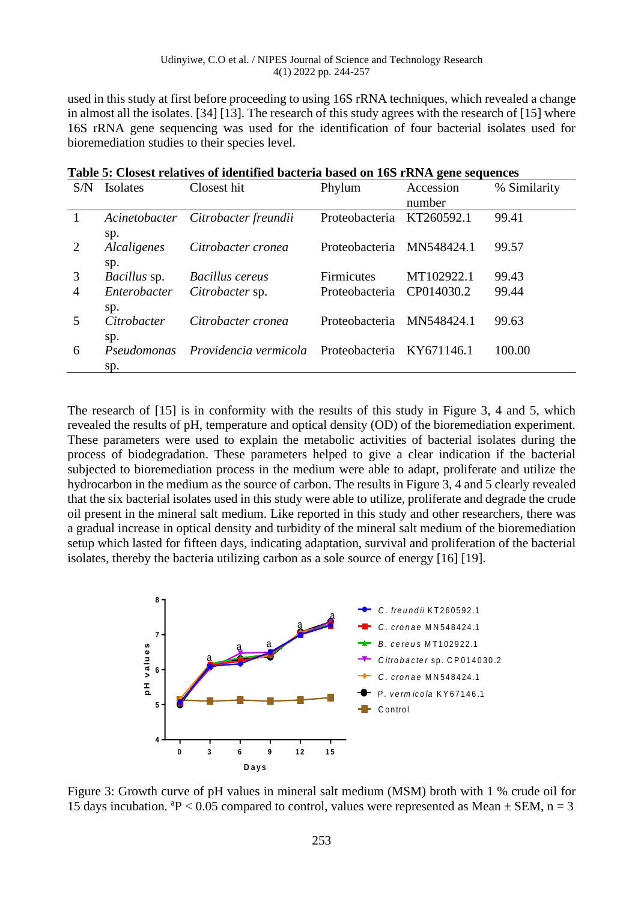used in this study at first before proceeding to using 16S rRNA techniques, which revealed a change in almost all the isolates. [34] [13]. The research of this study agrees with the research of [15] where 16S rRNA gene sequencing was used for the identification of four bacterial isolates used for bioremediation studies to their species level.

| S/N                 | Isolates                            | Closest hit                                     | Phylum                              | Accession<br>number      | % Similarity   |
|---------------------|-------------------------------------|-------------------------------------------------|-------------------------------------|--------------------------|----------------|
|                     | Acinetobacter                       | Citrobacter freundii                            | Proteobacteria                      | KT260592.1               | 99.41          |
| 2                   | sp.<br>Alcaligenes                  | Citrobacter cronea                              | Proteobacteria                      | MN548424.1               | 99.57          |
| 3<br>$\overline{4}$ | sp.<br>Bacillus sp.<br>Enterobacter | Bacillus cereus<br>Citrobacter sp.              | <b>Firmicutes</b><br>Proteobacteria | MT102922.1<br>CP014030.2 | 99.43<br>99.44 |
|                     | sp.<br>Citrobacter                  | Citrobacter cronea                              | Proteobacteria                      | MN548424.1               | 99.63          |
| 6                   | sp.<br>Pseudomonas<br>sp.           | Providencia vermicola Proteobacteria KY671146.1 |                                     |                          | 100.00         |

**Table 5: Closest relatives of identified bacteria based on 16S rRNA gene sequences**

The research of [15] is in conformity with the results of this study in Figure 3, 4 and 5, which revealed the results of pH, temperature and optical density (OD) of the bioremediation experiment. These parameters were used to explain the metabolic activities of bacterial isolates during the process of biodegradation. These parameters helped to give a clear indication if the bacterial subjected to bioremediation process in the medium were able to adapt, proliferate and utilize the hydrocarbon in the medium as the source of carbon. The results in Figure 3, 4 and 5 clearly revealed that the six bacterial isolates used in this study were able to utilize, proliferate and degrade the crude oil present in the mineral salt medium. Like reported in this study and other researchers, there was a gradual increase in optical density and turbidity of the mineral salt medium of the bioremediation setup which lasted for fifteen days, indicating adaptation, survival and proliferation of the bacterial isolates, thereby the bacteria utilizing carbon as a sole source of energy [16] [19].



Figure 3: Growth curve of pH values in mineral salt medium (MSM) broth with 1 % crude oil for 15 days incubation.  ${}^{a}P$  < 0.05 compared to control, values were represented as Mean  $\pm$  SEM, n = 3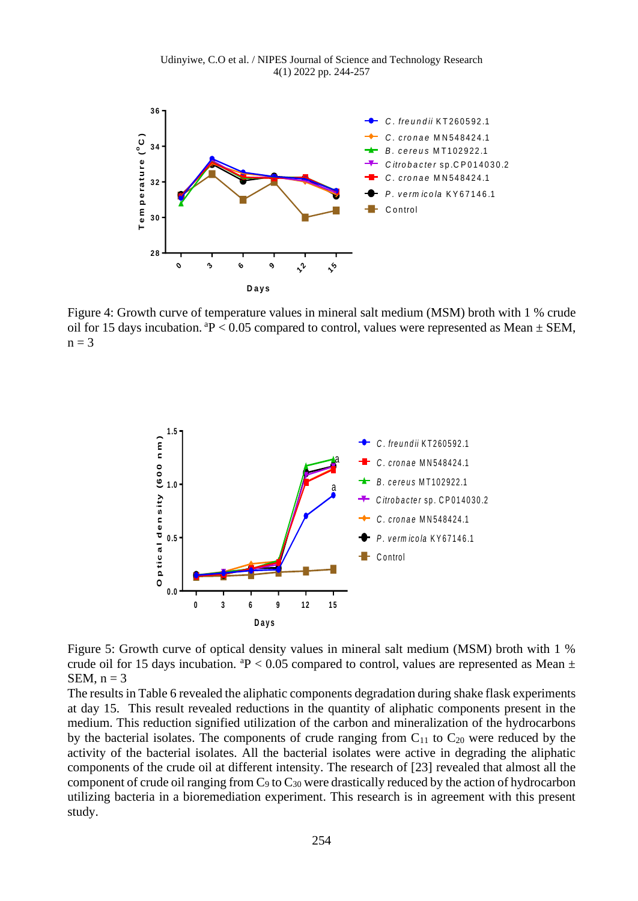Udinyiwe, C.O et al. / NIPES Journal of Science and Technology Research 4(1) 2022 pp. 244-257



Figure 4: Growth curve of temperature values in mineral salt medium (MSM) broth with 1 % crude oil for 15 days incubation.  $P < 0.05$  compared to control, values were represented as Mean  $\pm$  SEM,  $n = 3$ 



Figure 5: Growth curve of optical density values in mineral salt medium (MSM) broth with 1 % crude oil for 15 days incubation.  $P < 0.05$  compared to control, values are represented as Mean  $\pm$ SEM,  $n = 3$ 

The results in Table 6 revealed the aliphatic components degradation during shake flask experiments at day 15. This result revealed reductions in the quantity of aliphatic components present in the medium. This reduction signified utilization of the carbon and mineralization of the hydrocarbons by the bacterial isolates. The components of crude ranging from  $C_{11}$  to  $C_{20}$  were reduced by the activity of the bacterial isolates. All the bacterial isolates were active in degrading the aliphatic components of the crude oil at different intensity. The research of [23] revealed that almost all the component of crude oil ranging from  $C_9$  to  $C_{30}$  were drastically reduced by the action of hydrocarbon utilizing bacteria in a bioremediation experiment. This research is in agreement with this present study.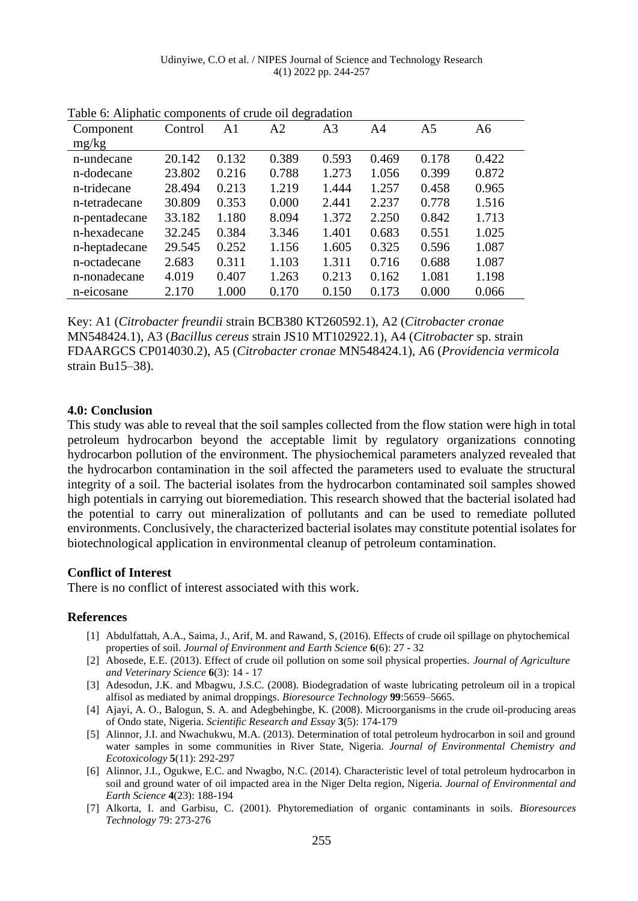| Table 0. Tulphane components of crace on degradation |         |                |       |                |       |                |       |
|------------------------------------------------------|---------|----------------|-------|----------------|-------|----------------|-------|
| Component                                            | Control | A <sub>1</sub> | A2    | A <sub>3</sub> | A4    | A <sub>5</sub> | A6    |
| mg/kg                                                |         |                |       |                |       |                |       |
| n-undecane                                           | 20.142  | 0.132          | 0.389 | 0.593          | 0.469 | 0.178          | 0.422 |
| n-dodecane                                           | 23.802  | 0.216          | 0.788 | 1.273          | 1.056 | 0.399          | 0.872 |
| n-tridecane                                          | 28.494  | 0.213          | 1.219 | 1.444          | 1.257 | 0.458          | 0.965 |
| n-tetradecane                                        | 30.809  | 0.353          | 0.000 | 2.441          | 2.237 | 0.778          | 1.516 |
| n-pentadecane                                        | 33.182  | 1.180          | 8.094 | 1.372          | 2.250 | 0.842          | 1.713 |
| n-hexadecane                                         | 32.245  | 0.384          | 3.346 | 1.401          | 0.683 | 0.551          | 1.025 |
| n-heptadecane                                        | 29.545  | 0.252          | 1.156 | 1.605          | 0.325 | 0.596          | 1.087 |
| n-octadecane                                         | 2.683   | 0.311          | 1.103 | 1.311          | 0.716 | 0.688          | 1.087 |
| n-nonadecane                                         | 4.019   | 0.407          | 1.263 | 0.213          | 0.162 | 1.081          | 1.198 |
| n-eicosane                                           | 2.170   | 1.000          | 0.170 | 0.150          | 0.173 | 0.000          | 0.066 |

Table 6: Aliphatic components of crude oil degradation

Key: A1 (*Citrobacter freundii* strain BCB380 KT260592.1), A2 (*Citrobacter cronae* MN548424.1), A3 (*Bacillus cereus* strain JS10 MT102922.1), A4 (*Citrobacter* sp. strain FDAARGCS CP014030.2), A5 (*Citrobacter cronae* MN548424.1), A6 (*Providencia vermicola*  strain Bu15–38).

#### **4.0: Conclusion**

This study was able to reveal that the soil samples collected from the flow station were high in total petroleum hydrocarbon beyond the acceptable limit by regulatory organizations connoting hydrocarbon pollution of the environment. The physiochemical parameters analyzed revealed that the hydrocarbon contamination in the soil affected the parameters used to evaluate the structural integrity of a soil. The bacterial isolates from the hydrocarbon contaminated soil samples showed high potentials in carrying out bioremediation. This research showed that the bacterial isolated had the potential to carry out mineralization of pollutants and can be used to remediate polluted environments. Conclusively, the characterized bacterial isolates may constitute potential isolates for biotechnological application in environmental cleanup of petroleum contamination.

#### **Conflict of Interest**

There is no conflict of interest associated with this work.

#### **References**

- [1] Abdulfattah, A.A., Saima, J., Arif, M. and Rawand, S, (2016). Effects of crude oil spillage on phytochemical properties of soil. *Journal of Environment and Earth Science* **6**(6): 27 - 32
- [2] Abosede, E.E. (2013). Effect of crude oil pollution on some soil physical properties. *Journal of Agriculture and Veterinary Science* **6**(3): 14 - 17
- [3] Adesodun, J.K. and Mbagwu, J.S.C. (2008). Biodegradation of waste lubricating petroleum oil in a tropical alfisol as mediated by animal droppings. *Bioresource Technology* **99**:5659–5665.
- [4] Ajayi, A. O., Balogun, S. A. and Adegbehingbe, K. (2008). Microorganisms in the crude oil-producing areas of Ondo state, Nigeria. *Scientific Research and Essay* **3**(5): 174-179
- [5] Alinnor, J.I. and Nwachukwu, M.A. (2013). Determination of total petroleum hydrocarbon in soil and ground water samples in some communities in River State, Nigeria. *Journal of Environmental Chemistry and Ecotoxicology* **5**(11): 292-297
- [6] Alinnor, J.I., Ogukwe, E.C. and Nwagbo, N.C. (2014). Characteristic level of total petroleum hydrocarbon in soil and ground water of oil impacted area in the Niger Delta region, Nigeria. *Journal of Environmental and Earth Science* **4**(23): 188-194
- [7] Alkorta, I. and Garbisu, C. (2001). Phytoremediation of organic contaminants in soils. *Bioresources Technology* 79: 273-276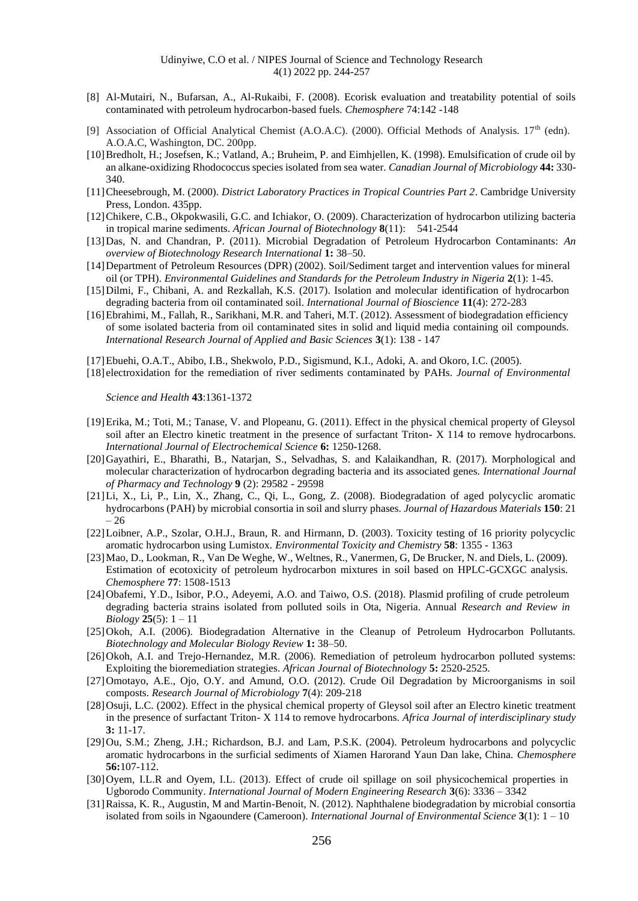- [8] Al-Mutairi, N., Bufarsan, A., Al-Rukaibi, F. (2008). Ecorisk evaluation and treatability potential of soils contaminated with petroleum hydrocarbon-based fuels. *Chemosphere* 74:142 -148
- [9] Association of Official Analytical Chemist (A.O.A.C). (2000). Official Methods of Analysis. 17<sup>th</sup> (edn). A.O.A.C, Washington, DC. 200pp.
- [10] Bredholt, H.; Josefsen, K.; Vatland, A.; Bruheim, P. and Eimhjellen, K. (1998). Emulsification of crude oil by an alkane-oxidizing Rhodococcus species isolated from sea water. *Canadian Journal of Microbiology* **44:** 330- 340.
- [11]Cheesebrough, M. (2000). *District Laboratory Practices in Tropical Countries Part 2*. Cambridge University Press, London. 435pp.
- [12]Chikere, C.B., Okpokwasili, G.C. and Ichiakor, O. (2009). Characterization of hydrocarbon utilizing bacteria in tropical marine sediments. *African Journal of Biotechnology* **8**(11): 541-2544
- [13]Das, N. and Chandran, P. (2011). Microbial Degradation of Petroleum Hydrocarbon Contaminants: *An overview of Biotechnology Research International* **1:** 38–50.
- [14]Department of Petroleum Resources (DPR) (2002). Soil/Sediment target and intervention values for mineral oil (or TPH). *Environmental Guidelines and Standards for the Petroleum Industry in Nigeria* **2**(1): 1-45.
- [15]Dilmi, F., Chibani, A. and Rezkallah, K.S. (2017). Isolation and molecular identification of hydrocarbon degrading bacteria from oil contaminated soil. *International Journal of Bioscience* **11**(4): 272-283
- [16]Ebrahimi, M., Fallah, R., Sarikhani, M.R. and Taheri, M.T. (2012). Assessment of biodegradation efficiency of some isolated bacteria from oil contaminated sites in solid and liquid media containing oil compounds. *International Research Journal of Applied and Basic Sciences* **3**(1): 138 - 147
- [17]Ebuehi, O.A.T., Abibo, I.B., Shekwolo, P.D., Sigismund, K.I., Adoki, A. and Okoro, I.C. (2005).
- [18] electroxidation for the remediation of river sediments contaminated by PAHs. *Journal of Environmental*

*Science and Health* **43**:1361-1372

- [19]Erika, M.; Toti, M.; Tanase, V. and Plopeanu, G. (2011). Effect in the physical chemical property of Gleysol soil after an Electro kinetic treatment in the presence of surfactant Triton-X 114 to remove hydrocarbons. *International Journal of Electrochemical Science* **6:** 1250-1268.
- [20]Gayathiri, E., Bharathi, B., Natarjan, S., Selvadhas, S. and Kalaikandhan, R. (2017). Morphological and molecular characterization of hydrocarbon degrading bacteria and its associated genes. *International Journal of Pharmacy and Technology* **9** (2): 29582 - 29598
- [21]Li, X., Li, P., Lin, X., Zhang, C., Qi, L., Gong, Z. (2008). Biodegradation of aged polycyclic aromatic hydrocarbons (PAH) by microbial consortia in soil and slurry phases. *Journal of Hazardous Materials* **150**: 21 – 26
- [22]Loibner, A.P., Szolar, O.H.J., Braun, R. and Hirmann, D. (2003). Toxicity testing of 16 priority polycyclic aromatic hydrocarbon using Lumistox. *Environmental Toxicity and Chemistry* **58**: 1355 - 1363
- [23]Mao, D., Lookman, R., Van De Weghe, W., Weltnes, R., Vanermen, G, De Brucker, N. and Diels, L. (2009). Estimation of ecotoxicity of petroleum hydrocarbon mixtures in soil based on HPLC-GCXGC analysis. *Chemosphere* **77**: 1508-1513
- [24]Obafemi, Y.D., Isibor, P.O., Adeyemi, A.O. and Taiwo, O.S. (2018). Plasmid profiling of crude petroleum degrading bacteria strains isolated from polluted soils in Ota, Nigeria. Annual *Research and Review in Biology* **25**(5): 1 – 11
- [25]Okoh, A.I. (2006). Biodegradation Alternative in the Cleanup of Petroleum Hydrocarbon Pollutants. *Biotechnology and Molecular Biology Review* **1:** 38–50.
- [26]Okoh, A.I. and Trejo-Hernandez, M.R. (2006). Remediation of petroleum hydrocarbon polluted systems: Exploiting the bioremediation strategies. *African Journal of Biotechnology* **5:** 2520-2525.
- [27]Omotayo, A.E., Ojo, O.Y. and Amund, O.O. (2012). Crude Oil Degradation by Microorganisms in soil composts. *Research Journal of Microbiology* **7**(4): 209-218
- [28]Osuji, L.C. (2002). Effect in the physical chemical property of Gleysol soil after an Electro kinetic treatment in the presence of surfactant Triton- X 114 to remove hydrocarbons. *Africa Journal of interdisciplinary study*  **3:** 11-17.
- [29]Ou, S.M.; Zheng, J.H.; Richardson, B.J. and Lam, P.S.K. (2004). Petroleum hydrocarbons and polycyclic aromatic hydrocarbons in the surficial sediments of Xiamen Harorand Yaun Dan lake, China. *Chemosphere*  **56:**107-112.
- [30]Oyem, I.L.R and Oyem, I.L. (2013). Effect of crude oil spillage on soil physicochemical properties in Ugborodo Community. *International Journal of Modern Engineering Research* **3**(6): 3336 – 3342
- [31]Raissa, K. R., Augustin, M and Martin-Benoit, N. (2012). Naphthalene biodegradation by microbial consortia isolated from soils in Ngaoundere (Cameroon). *International Journal of Environmental Science* **3**(1): 1 – 10